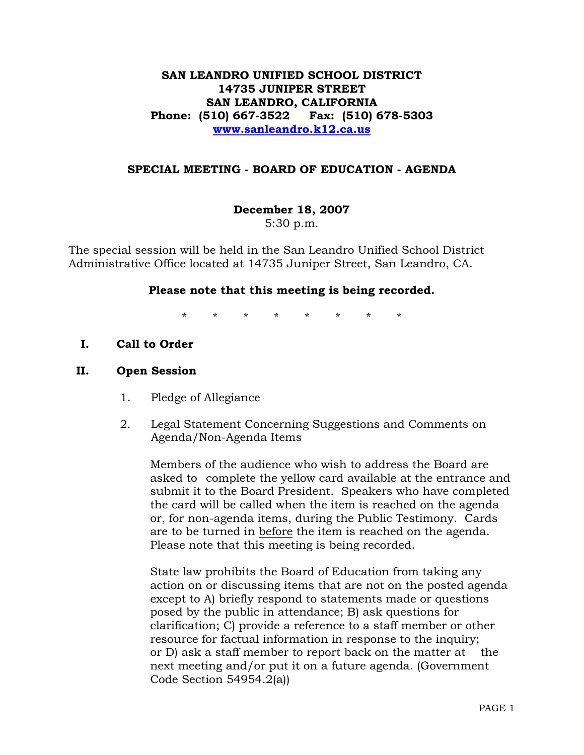## **SAN LEANDRO UNIFIED SCHOOL DISTRICT 14735 JUNIPER STREET SAN LEANDRO, CALIFORNIA Phone: (510) 667-3522 Fax: (510) 678-5303 www.sanleandro.k12.ca.us**

### **SPECIAL MEETING - BOARD OF EDUCATION - AGENDA**

# **December 18, 2007**

5:30 p.m.

The special session will be held in the San Leandro Unified School District Administrative Office located at 14735 Juniper Street, San Leandro, CA.

### **Please note that this meeting is being recorded.**

\* \* \* \* \* \* \* \*

**I. Call to Order** 

### **II. Open Session**

- 1. Pledge of Allegiance
- 2. Legal Statement Concerning Suggestions and Comments on Agenda/Non-Agenda Items

 Members of the audience who wish to address the Board are asked to complete the yellow card available at the entrance and submit it to the Board President. Speakers who have completed the card will be called when the item is reached on the agenda or, for non-agenda items, during the Public Testimony. Cards are to be turned in before the item is reached on the agenda. Please note that this meeting is being recorded.

 State law prohibits the Board of Education from taking any action on or discussing items that are not on the posted agenda except to A) briefly respond to statements made or questions posed by the public in attendance; B) ask questions for clarification; C) provide a reference to a staff member or other resource for factual information in response to the inquiry; or D) ask a staff member to report back on the matter at the next meeting and/or put it on a future agenda. (Government Code Section 54954.2(a))